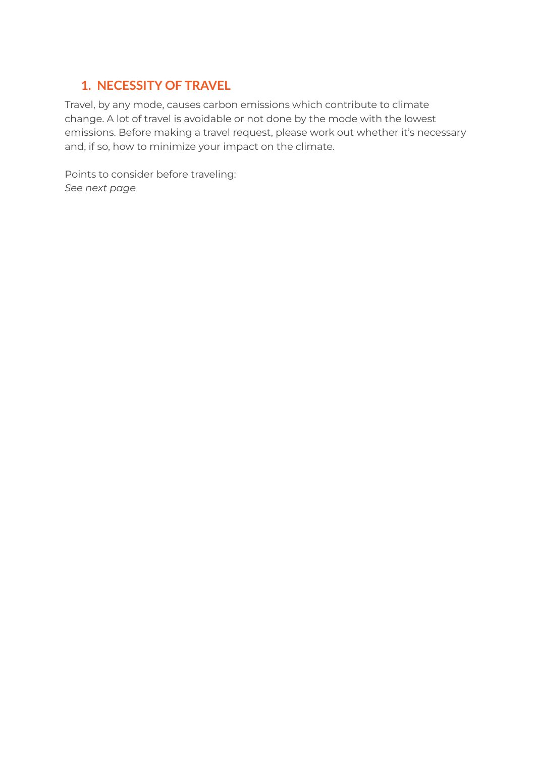# **1. NECESSITY OF TRAVEL**

Travel, by any mode, causes carbon emissions which contribute to climate change. A lot of travel is avoidable or not done by the mode with the lowest emissions. Before making a travel request, please work out whether it's necessary and, if so, how to minimize your impact on the climate.

Points to consider before traveling: *See next page*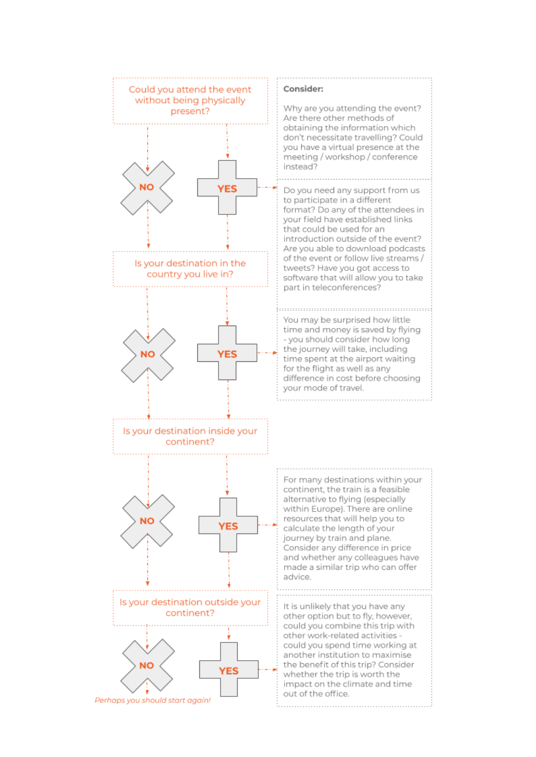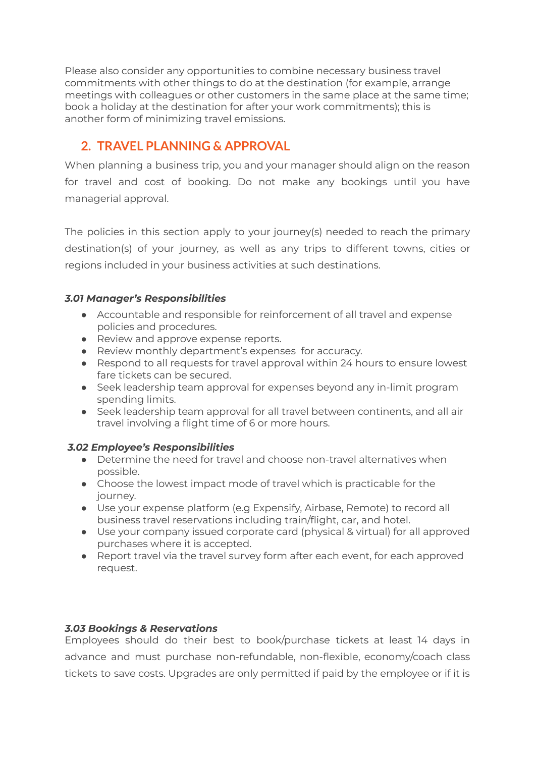Please also consider any opportunities to combine necessary business travel commitments with other things to do at the destination (for example, arrange meetings with colleagues or other customers in the same place at the same time; book a holiday at the destination for after your work commitments); this is another form of minimizing travel emissions.

## **2. TRAVEL PLANNING & APPROVAL**

When planning a business trip, you and your manager should align on the reason for travel and cost of booking. Do not make any bookings until you have managerial approval.

The policies in this section apply to your journey(s) needed to reach the primary destination(s) of your journey, as well as any trips to different towns, cities or regions included in your business activities at such destinations.

### *3.01 Manager's Responsibilities*

- Accountable and responsible for reinforcement of all travel and expense policies and procedures.
- Review and approve expense reports.
- Review monthly department's expenses for accuracy.
- Respond to all requests for travel approval within 24 hours to ensure lowest fare tickets can be secured.
- Seek leadership team approval for expenses beyond any in-limit program spending limits.
- Seek leadership team approval for all travel between continents, and all air travel involving a flight time of 6 or more hours.

### *3.02 Employee's Responsibilities*

- $\bullet$  Determine the need for travel and choose non-travel alternatives when possible.
- Choose the lowest impact mode of travel which is practicable for the journey.
- Use your expense platform (e.g Expensify, Airbase, Remote) to record all business travel reservations including train/flight, car, and hotel.
- Use your company issued corporate card (physical & virtual) for all approved purchases where it is accepted.
- Report travel via the travel survey form after each event, for each approved request.

### *3.03 Bookings & Reservations*

Employees should do their best to book/purchase tickets at least 14 days in advance and must purchase non-refundable, non-flexible, economy/coach class tickets to save costs. Upgrades are only permitted if paid by the employee or if it is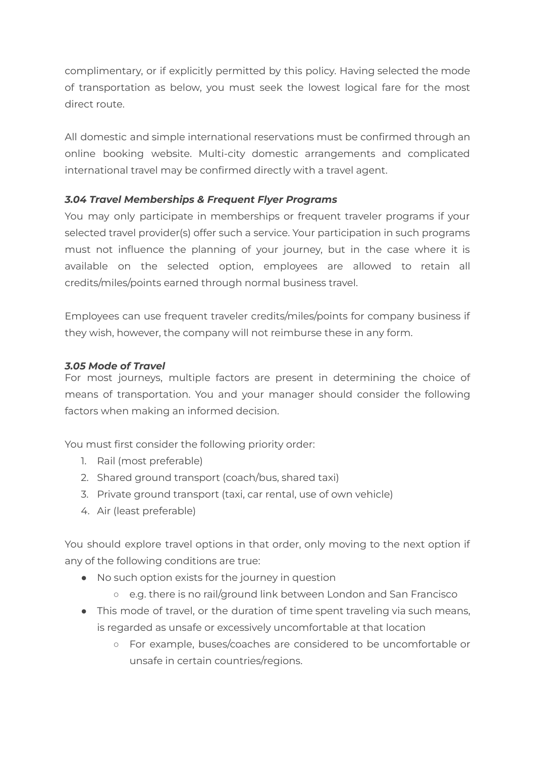complimentary, or if explicitly permitted by this policy. Having selected the mode of transportation as below, you must seek the lowest logical fare for the most direct route.

All domestic and simple international reservations must be confirmed through an online booking website. Multi-city domestic arrangements and complicated international travel may be confirmed directly with a travel agent.

### *3.04 Travel Memberships & Frequent Flyer Programs*

You may only participate in memberships or frequent traveler programs if your selected travel provider(s) offer such a service. Your participation in such programs must not influence the planning of your journey, but in the case where it is available on the selected option, employees are allowed to retain all credits/miles/points earned through normal business travel.

Employees can use frequent traveler credits/miles/points for company business if they wish, however, the company will not reimburse these in any form.

#### *3.05 Mode of Travel*

For most journeys, multiple factors are present in determining the choice of means of transportation. You and your manager should consider the following factors when making an informed decision.

You must first consider the following priority order:

- 1. Rail (most preferable)
- 2. Shared ground transport (coach/bus, shared taxi)
- 3. Private ground transport (taxi, car rental, use of own vehicle)
- 4. Air (least preferable)

You should explore travel options in that order, only moving to the next option if any of the following conditions are true:

- No such option exists for the journey in question
	- e.g. there is no rail/ground link between London and San Francisco
- This mode of travel, or the duration of time spent traveling via such means, is regarded as unsafe or excessively uncomfortable at that location
	- For example, buses/coaches are considered to be uncomfortable or unsafe in certain countries/regions.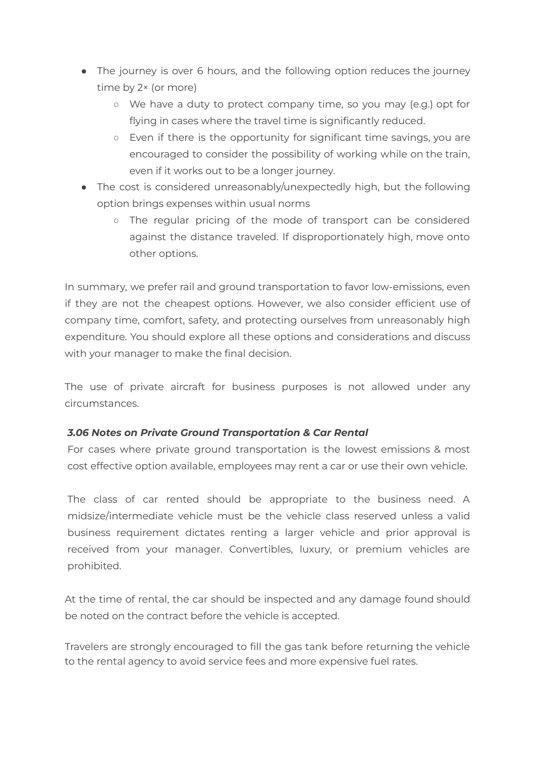- The journey is over 6 hours, and the following option reduces the journey time by 2× (or more)
	- We have a duty to protect company time, so you may (e.g.) opt for flying in cases where the travel time is significantly reduced.
	- Even if there is the opportunity for significant time savings, you are encouraged to consider the possibility of working while on the train, even if it works out to be a longer journey.
- The cost is considered unreasonably/unexpectedly high, but the following option brings expenses within usual norms
	- The regular pricing of the mode of transport can be considered against the distance traveled. If disproportionately high, move onto other options.

In summary, we prefer rail and ground transportation to favor low-emissions, even if they are not the cheapest options. However, we also consider efficient use of company time, comfort, safety, and protecting ourselves from unreasonably high expenditure. You should explore all these options and considerations and discuss with your manager to make the final decision.

The use of private aircraft for business purposes is not allowed under any circumstances.

### *3.06 Notes on Private Ground Transportation & Car Rental*

For cases where private ground transportation is the lowest emissions & most cost effective option available, employees may rent a car or use their own vehicle.

The class of car rented should be appropriate to the business need. A midsize/intermediate vehicle must be the vehicle class reserved unless a valid business requirement dictates renting a larger vehicle and prior approval is received from your manager. Convertibles, luxury, or premium vehicles are prohibited.

At the time of rental, the car should be inspected and any damage found should be noted on the contract before the vehicle is accepted.

Travelers are strongly encouraged to fill the gas tank before returning the vehicle to the rental agency to avoid service fees and more expensive fuel rates.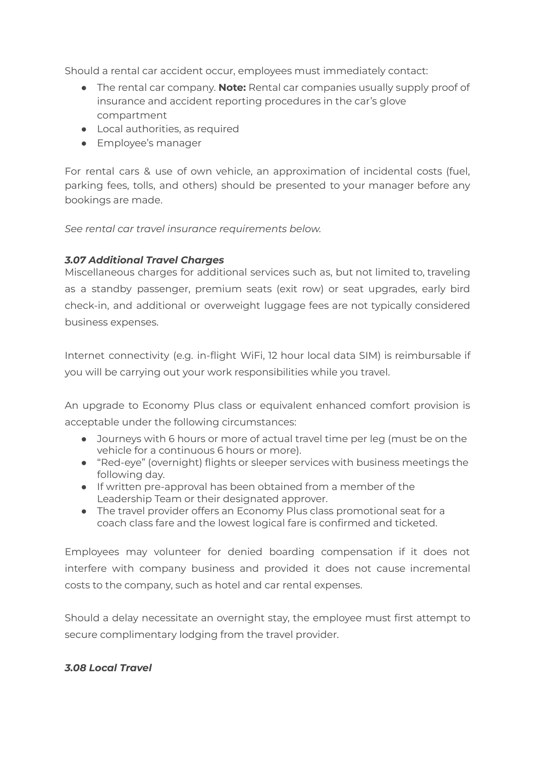Should a rental car accident occur, employees must immediately contact:

- The rental car company. **Note:** Rental car companies usually supply proof of insurance and accident reporting procedures in the car's glove compartment
- Local authorities, as required
- Employee's manager

For rental cars & use of own vehicle, an approximation of incidental costs (fuel, parking fees, tolls, and others) should be presented to your manager before any bookings are made.

*See rental car travel insurance requirements below.*

### *3.07 Additional Travel Charges*

Miscellaneous charges for additional services such as, but not limited to, traveling as a standby passenger, premium seats (exit row) or seat upgrades, early bird check-in, and additional or overweight luggage fees are not typically considered business expenses.

Internet connectivity (e.g. in-flight WiFi, 12 hour local data SIM) is reimbursable if you will be carrying out your work responsibilities while you travel.

An upgrade to Economy Plus class or equivalent enhanced comfort provision is acceptable under the following circumstances:

- Journeys with 6 hours or more of actual travel time per leg (must be on the vehicle for a continuous 6 hours or more).
- "Red-eye" (overnight) flights or sleeper services with business meetings the following day.
- If written pre-approval has been obtained from a member of the Leadership Team or their designated approver.
- The travel provider offers an Economy Plus class promotional seat for a coach class fare and the lowest logical fare is confirmed and ticketed.

Employees may volunteer for denied boarding compensation if it does not interfere with company business and provided it does not cause incremental costs to the company, such as hotel and car rental expenses.

Should a delay necessitate an overnight stay, the employee must first attempt to secure complimentary lodging from the travel provider.

### *3.08 Local Travel*